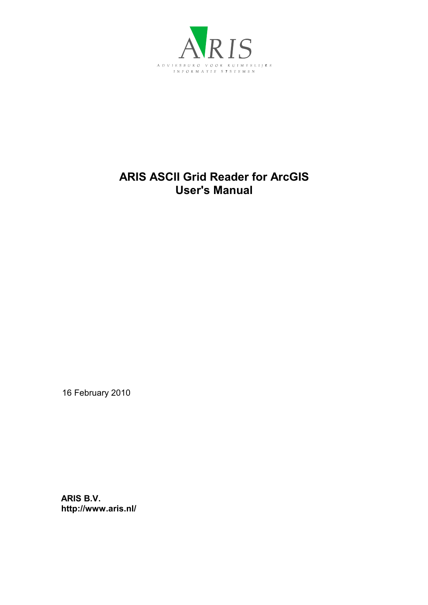

## **ARIS ASCII Grid Reader for ArcGIS User's Manual**

16 February 2010

**ARIS B.V. http://www.aris.nl/**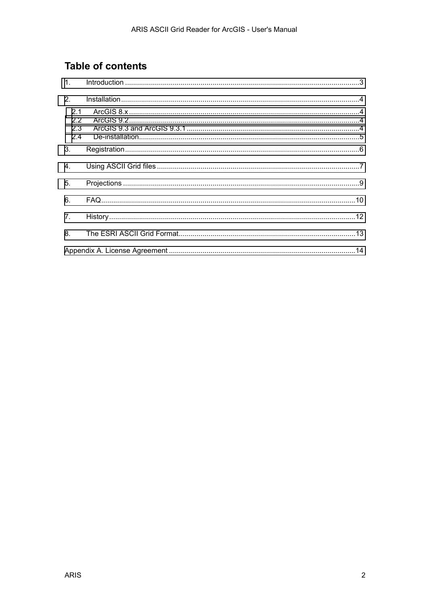# **Table of contents**

| 2.1<br>2.2<br>2.3<br>2.4 |  |
|--------------------------|--|
| 3.                       |  |
| 4.                       |  |
| 5.                       |  |
| 6.                       |  |
| 7.                       |  |
|                          |  |
|                          |  |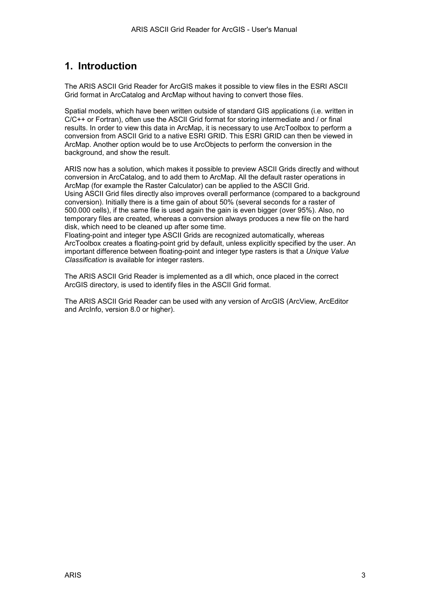### <span id="page-2-0"></span>**1. Introduction**

The ARIS ASCII Grid Reader for ArcGIS makes it possible to view files in the ESRI ASCII Grid format in ArcCatalog and ArcMap without having to convert those files.

Spatial models, which have been written outside of standard GIS applications (i.e. written in C/C++ or Fortran), often use the ASCII Grid format for storing intermediate and / or final results. In order to view this data in ArcMap, it is necessary to use ArcToolbox to perform a conversion from ASCII Grid to a native ESRI GRID. This ESRI GRID can then be viewed in ArcMap. Another option would be to use ArcObjects to perform the conversion in the background, and show the result.

ARIS now has a solution, which makes it possible to preview ASCII Grids directly and without conversion in ArcCatalog, and to add them to ArcMap. All the default raster operations in ArcMap (for example the Raster Calculator) can be applied to the ASCII Grid. Using ASCII Grid files directly also improves overall performance (compared to a background conversion). Initially there is a time gain of about 50% (several seconds for a raster of 500.000 cells), if the same file is used again the gain is even bigger (over 95%). Also, no temporary files are created, whereas a conversion always produces a new file on the hard disk, which need to be cleaned up after some time.

Floating-point and integer type ASCII Grids are recognized automatically, whereas ArcToolbox creates a floating-point grid by default, unless explicitly specified by the user. An important difference between floating-point and integer type rasters is that a *Unique Value Classification* is available for integer rasters.

The ARIS ASCII Grid Reader is implemented as a dll which, once placed in the correct ArcGIS directory, is used to identify files in the ASCII Grid format.

The ARIS ASCII Grid Reader can be used with any version of ArcGIS (ArcView, ArcEditor and ArcInfo, version 8.0 or higher).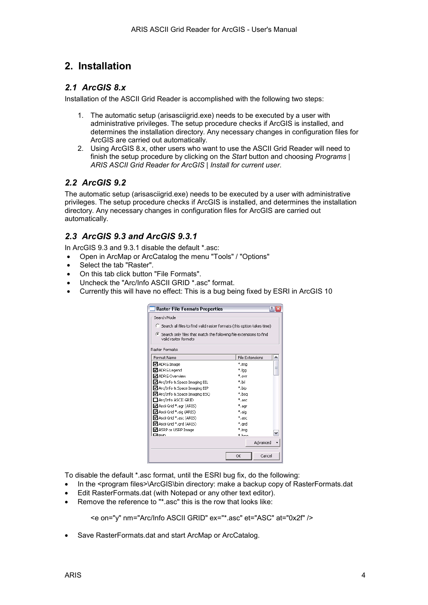### <span id="page-3-0"></span>**2. Installation**

#### *2.1 ArcGIS 8.x*

Installation of the ASCII Grid Reader is accomplished with the following two steps:

- 1. The automatic setup (arisasciigrid.exe) needs to be executed by a user with administrative privileges. The setup procedure checks if ArcGIS is installed, and determines the installation directory. Any necessary changes in configuration files for ArcGIS are carried out automatically.
- 2. Using ArcGIS 8.x, other users who want to use the ASCII Grid Reader will need to finish the setup procedure by clicking on the *Start* button and choosing *Programs | ARIS ASCII Grid Reader for ArcGIS | Install for current user*.

#### *2.2 ArcGIS 9.2*

The automatic setup (arisasciigrid.exe) needs to be executed by a user with administrative privileges. The setup procedure checks if ArcGIS is installed, and determines the installation directory. Any necessary changes in configuration files for ArcGIS are carried out automatically.

#### *2.3 ArcGIS 9.3 and ArcGIS 9.3.1*

In ArcGIS 9.3 and 9.3.1 disable the default \*.asc:

- Open in ArcMap or ArcCatalog the menu "Tools" / "Options"
- Select the tab "Raster".
- On this tab click button "File Formats".
- Uncheck the "Arc/Info ASCII GRID \*.asc" format.
- Currently this will have no effect: This is a bug being fixed by ESRI in ArcGIS 10

| <b>Raster File Formats Properties</b>                                                        |                             |  |  |  |
|----------------------------------------------------------------------------------------------|-----------------------------|--|--|--|
| Search Mode                                                                                  |                             |  |  |  |
| C Search all files to find valid raster formats (this option takes time)                     |                             |  |  |  |
| • Search only files that match the following file extensions to find<br>valid raster formats |                             |  |  |  |
| Raster Formats:                                                                              |                             |  |  |  |
| Format Name                                                                                  | <b>File Extensions</b><br>۸ |  |  |  |
| ■ ADRG Image                                                                                 | *.ima                       |  |  |  |
| Ø ADRG Legend                                                                                | ≣<br>*.lgg                  |  |  |  |
| V ADRG Overview                                                                              | *.ovr                       |  |  |  |
| ☑ Arc/Info & Space Imaging BIL                                                               | *.hil                       |  |  |  |
| ■ Arc/Info & Space Imaging BIP                                                               | *.bip                       |  |  |  |
| M Arc/Info & Space Imaging BSO                                                               | *.bsa                       |  |  |  |
| ∃Arc/Info ASCII GRID                                                                         | *.asc                       |  |  |  |
| Ascii Grid *.agr (ARIS)                                                                      | *.aar                       |  |  |  |
| ■ Ascii Grid *.aig (ARIS)                                                                    | *.aig                       |  |  |  |
| ■ Ascii Grid *.asc (ARIS)                                                                    | $*_{.\sf asc}$              |  |  |  |
| Ascii Grid *.grd (ARIS)                                                                      | *.ard                       |  |  |  |
| ■ ASRP or USRP Image                                                                         | *.ima                       |  |  |  |
| ⊡ емо                                                                                        | $*$ hmn                     |  |  |  |
|                                                                                              | Advanced                    |  |  |  |
|                                                                                              | Cancel<br>OK                |  |  |  |

To disable the default \*.asc format, until the ESRI bug fix, do the following:

- In the <program files>\ArcGIS\bin directory: make a backup copy of RasterFormats.dat
- Edit RasterFormats.dat (with Notepad or any other text editor).
- Remove the reference to "\* asc" this is the row that looks like:

<e on="y" nm="Arc/Info ASCII GRID" ex="\*.asc" et="ASC" at="0x2f" />

• Save RasterFormats.dat and start ArcMap or ArcCatalog.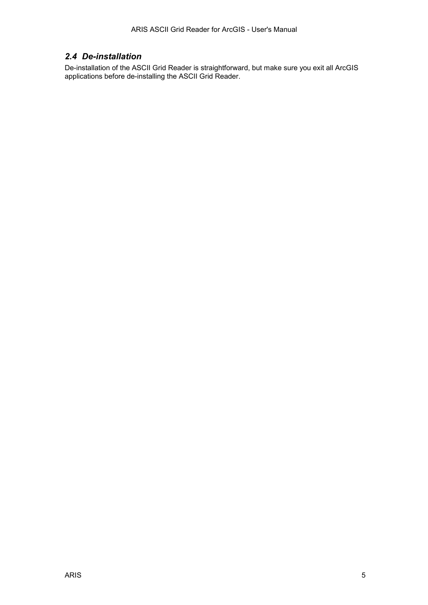#### <span id="page-4-0"></span>*2.4 De-installation*

De-installation of the ASCII Grid Reader is straightforward, but make sure you exit all ArcGIS applications before de-installing the ASCII Grid Reader.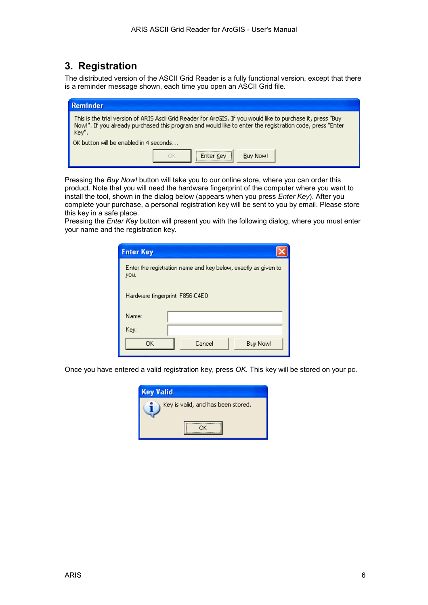### <span id="page-5-0"></span>**3. Registration**

The distributed version of the ASCII Grid Reader is a fully functional version, except that there is a reminder message shown, each time you open an ASCII Grid file.

| <b>Reminder</b>                                                                                                                                                                                                                   |  |  |
|-----------------------------------------------------------------------------------------------------------------------------------------------------------------------------------------------------------------------------------|--|--|
| This is the trial version of ARIS Ascii Grid Reader for ArcGIS. If you would like to purchase it, press "Buy<br>Now!". If you already purchased this program and would like to enter the registration code, press "Enter<br>Key". |  |  |
| OK button will be enabled in 4 seconds                                                                                                                                                                                            |  |  |
| Buy Now!                                                                                                                                                                                                                          |  |  |

Pressing the *Buy Now!* button will take you to our online store, where you can order this product. Note that you will need the hardware fingerprint of the computer where you want to install the tool, shown in the dialog below (appears when you press *Enter Key*). After you complete your purchase, a personal registration key will be sent to you by email. Please store this key in a safe place.

Pressing the *Enter Key* button will present you with the following dialog, where you must enter your name and the registration key.

| <b>Enter Key</b>                                                       |                           |  |  |  |  |
|------------------------------------------------------------------------|---------------------------|--|--|--|--|
| Enter the registration name and key below, exactly as given to<br>you. |                           |  |  |  |  |
| Hardware fingerprint: F856-C4E0                                        |                           |  |  |  |  |
| Name:                                                                  |                           |  |  |  |  |
| Key:                                                                   |                           |  |  |  |  |
| OΚ                                                                     | Cancel<br><b>Buy Now!</b> |  |  |  |  |

Once you have entered a valid registration key, press *OK*. This key will be stored on your pc.

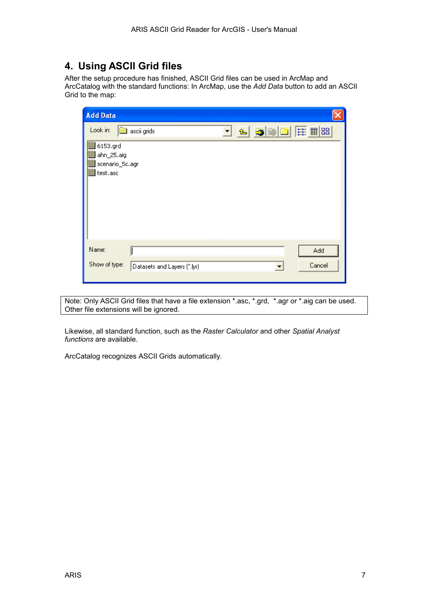### <span id="page-6-0"></span>**4. Using ASCII Grid files**

After the setup procedure has finished, ASCII Grid files can be used in ArcMap and ArcCatalog with the standard functions: In ArcMap, use the *Add Data* button to add an ASCII Grid to the map:

| <b>Add Data</b>                                                                                                             |  |
|-----------------------------------------------------------------------------------------------------------------------------|--|
| <b>誌前88</b><br>Look in:<br>ascii grids<br>₠<br>▼<br><b>翻 6153.grd</b><br>图 ahn_25.aig<br>噩<br>scenario_5c.agr<br>翻 test.asc |  |
| Name:<br>Add<br>Show of type:<br>Cancel<br>Datasets and Layers (".lyr)<br>▼                                                 |  |

Note: Only ASCII Grid files that have a file extension \*.asc, \*.grd, \*.agr or \*.aig can be used. Other file extensions will be ignored.

Likewise, all standard function, such as the *Raster Calculator* and other *Spatial Analyst functions* are available.

ArcCatalog recognizes ASCII Grids automatically.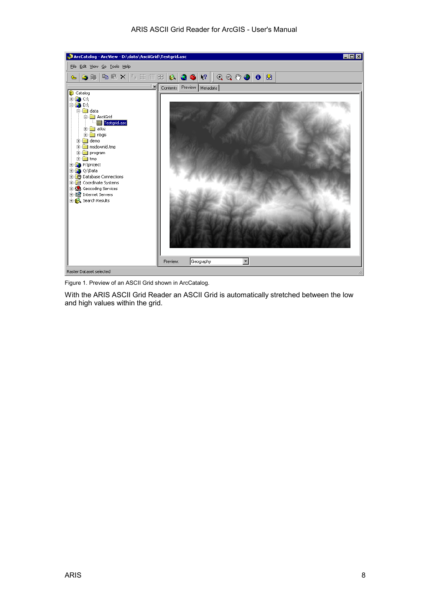

Figure 1. Preview of an ASCII Grid shown in ArcCatalog.

With the ARIS ASCII Grid Reader an ASCII Grid is automatically stretched between the low and high values within the grid.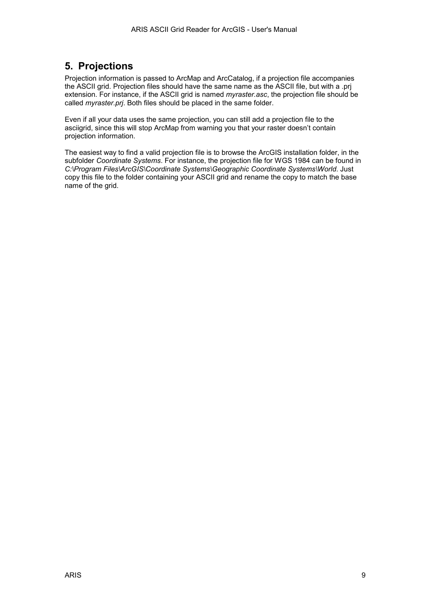### <span id="page-8-0"></span>**5. Projections**

Projection information is passed to ArcMap and ArcCatalog, if a projection file accompanies the ASCII grid. Projection files should have the same name as the ASCII file, but with a .prj extension. For instance, if the ASCII grid is named *myraster.asc*, the projection file should be called *myraster.prj*. Both files should be placed in the same folder.

Even if all your data uses the same projection, you can still add a projection file to the asciigrid, since this will stop ArcMap from warning you that your raster doesn't contain projection information.

The easiest way to find a valid projection file is to browse the ArcGIS installation folder, in the subfolder *Coordinate Systems*. For instance, the projection file for WGS 1984 can be found in *C:\Program Files\ArcGIS\Coordinate Systems\Geographic Coordinate Systems\World*. Just copy this file to the folder containing your ASCII grid and rename the copy to match the base name of the grid.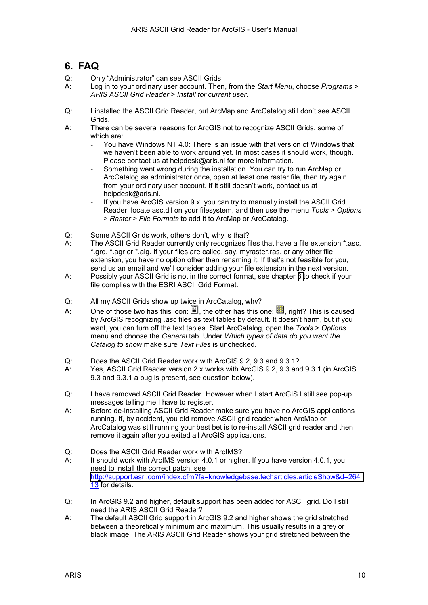### <span id="page-9-0"></span>**6. FAQ**

- Q: Only "Administrator" can see ASCII Grids.
- A: Log in to your ordinary user account. Then, from the *Start Menu*, choose *Programs* > *ARIS ASCII Grid Reader* > *Install for current user*.
- Q: I installed the ASCII Grid Reader, but ArcMap and ArcCatalog still don't see ASCII Grids.
- A: There can be several reasons for ArcGIS not to recognize ASCII Grids, some of which are:
	- You have Windows NT 4.0: There is an issue with that version of Windows that we haven't been able to work around yet. In most cases it should work, though. Please contact us at helpdesk@aris.nl for more information.
	- Something went wrong during the installation. You can try to run ArcMap or ArcCatalog as administrator once, open at least one raster file, then try again from your ordinary user account. If it still doesn't work, contact us at helpdesk@aris.nl.
	- If you have ArcGIS version 9.x, you can try to manually install the ASCII Grid Reader, locate asc.dll on your filesystem, and then use the menu *Tools* > *Options* > *Raster* > *File Formats* to add it to ArcMap or ArcCatalog.
- Q: Some ASCII Grids work, others don't, why is that?
- A: The ASCII Grid Reader currently only recognizes files that have a file extension \*.asc, \*.grd, \*.agr or \*.aig. If your files are called, say, myraster.ras, or any other file extension, you have no option other than renaming it. If that's not feasible for you, send us an email and we'll consider adding your file extension in the next version.
- A: Possibly your ASCII Grid is not in the correct format, see chapter [8 t](#page-12-0)o check if your file complies with the ESRI ASCII Grid Format.
- Q: All my ASCII Grids show up twice in ArcCatalog, why?
- A: One of those two has this icon:  $\Xi$ , the other has this one:  $\Xi$ , right? This is caused by ArcGIS recognizing *.asc* files as text tables by default. It doesn't harm, but if you want, you can turn off the text tables. Start ArcCatalog, open the *Tools* > *Options* menu and choose the *General* tab. Under *Which types of data do you want the Catalog to show* make sure *Text Files* is unchecked.
- Q: Does the ASCII Grid Reader work with ArcGIS 9.2, 9.3 and 9.3.1?
- A: Yes, ASCII Grid Reader version 2.x works with ArcGIS 9.2, 9.3 and 9.3.1 (in ArcGIS 9.3 and 9.3.1 a bug is present, see question below).
- Q: I have removed ASCII Grid Reader. However when I start ArcGIS I still see pop-up messages telling me I have to register.
- A: Before de-installing ASCII Grid Reader make sure you have no ArcGIS applications running. If, by accident, you did remove ASCII grid reader when ArcMap or ArcCatalog was still running your best bet is to re-install ASCII grid reader and then remove it again after you exited all ArcGIS applications.
- Q: Does the ASCII Grid Reader work with ArcIMS?
- A: It should work with ArcIMS version 4.0.1 or higher. If you have version 4.0.1, you need to install the correct patch, see [http://support.esri.com/index.cfm?fa=knowledgebase.techarticles.articleShow&d=264](http://support.esri.com/index.cfm?fa=knowledgebase.techarticles.articleShow&d=26413) 1[3](http://support.esri.com/index.cfm?fa=knowledgebase.techarticles.articleShow&d=26413) for details.
- Q: In ArcGIS 9.2 and higher, default support has been added for ASCII grid. Do I still need the ARIS ASCII Grid Reader?
- A: The default ASCII Grid support in ArcGIS 9.2 and higher shows the grid stretched between a theoretically minimum and maximum. This usually results in a grey or black image. The ARIS ASCII Grid Reader shows your grid stretched between the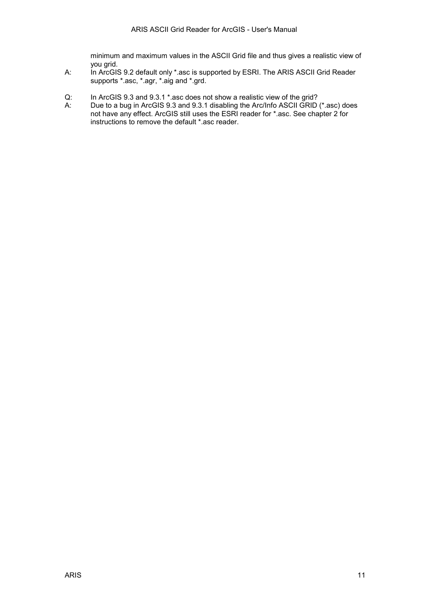minimum and maximum values in the ASCII Grid file and thus gives a realistic view of you grid.

- A: In ArcGIS 9.2 default only \*.asc is supported by ESRI. The ARIS ASCII Grid Reader supports \*.asc, \*.agr, \*.aig and \*.grd.
- Q: In ArcGIS 9.3 and 9.3.1 \*.asc does not show a realistic view of the grid?
- A: Due to a bug in ArcGIS 9.3 and 9.3.1 disabling the Arc/Info ASCII GRID (\*.asc) does not have any effect. ArcGIS still uses the ESRI reader for \*.asc. See chapter 2 for instructions to remove the default \*.asc reader.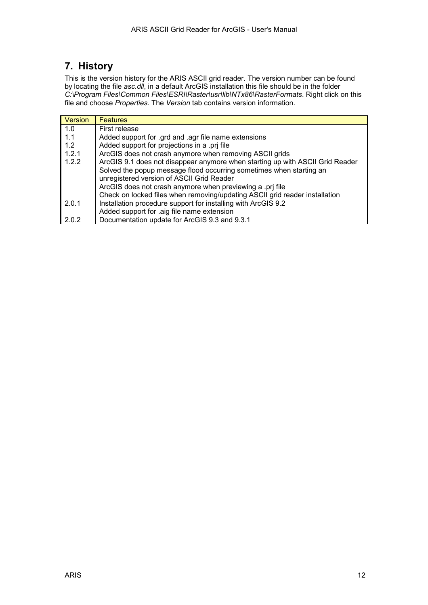## <span id="page-11-0"></span>**7. History**

This is the version history for the ARIS ASCII grid reader. The version number can be found by locating the file *asc.dll*, in a default ArcGIS installation this file should be in the folder *C:\Program Files\Common Files\ESRI\Raster\usr\lib\NTx86\RasterFormats*. Right click on this file and choose *Properties*. The *Version* tab contains version information.

| Version | <b>Features</b>                                                               |
|---------|-------------------------------------------------------------------------------|
| 1.0     | First release                                                                 |
| 1.1     | Added support for .grd and .agr file name extensions                          |
| 1.2     | Added support for projections in a .prj file                                  |
| 1.2.1   | ArcGIS does not crash anymore when removing ASCII grids                       |
| 1.2.2   | ArcGIS 9.1 does not disappear anymore when starting up with ASCII Grid Reader |
|         | Solved the popup message flood occurring sometimes when starting an           |
|         | unregistered version of ASCII Grid Reader                                     |
|         | ArcGIS does not crash anymore when previewing a .prj file                     |
|         | Check on locked files when removing/updating ASCII grid reader installation   |
| 2.0.1   | Installation procedure support for installing with ArcGIS 9.2                 |
|         | Added support for .aig file name extension                                    |
| 2.0.2   | Documentation update for ArcGIS 9.3 and 9.3.1                                 |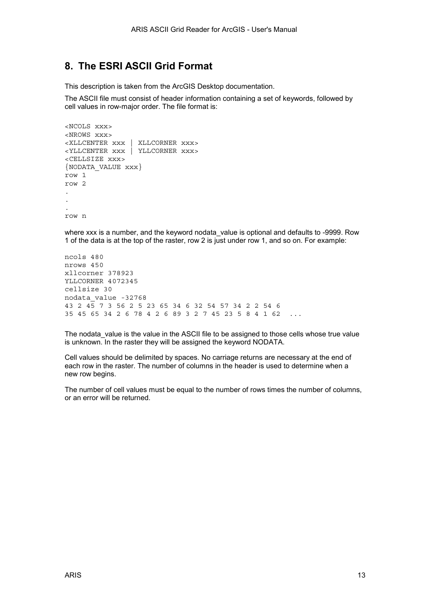#### <span id="page-12-0"></span>**8. The ESRI ASCII Grid Format**

This description is taken from the ArcGIS Desktop documentation.

The ASCII file must consist of header information containing a set of keywords, followed by cell values in row-major order. The file format is:

```
<NCOLS xxx> 
<NROWS xxx> 
<XLLCENTER xxx | XLLCORNER xxx> 
<YLLCENTER xxx | YLLCORNER xxx> 
<CELLSIZE xxx> 
{NODATA_VALUE xxx} 
row 1 
row 2 
. 
. 
. 
row n
```
where xxx is a number, and the keyword nodata\_value is optional and defaults to -9999. Row 1 of the data is at the top of the raster, row 2 is just under row 1, and so on. For example:

ncols 480 nrows 450 xllcorner 378923 YLLCORNER 4072345 cellsize 30 nodata\_value -32768 43 2 45 7 3 56 2 5 23 65 34 6 32 54 57 34 2 2 54 6 35 45 65 34 2 6 78 4 2 6 89 3 2 7 45 23 5 8 4 1 62 ...

The nodata\_value is the value in the ASCII file to be assigned to those cells whose true value is unknown. In the raster they will be assigned the keyword NODATA.

Cell values should be delimited by spaces. No carriage returns are necessary at the end of each row in the raster. The number of columns in the header is used to determine when a new row begins.

The number of cell values must be equal to the number of rows times the number of columns, or an error will be returned.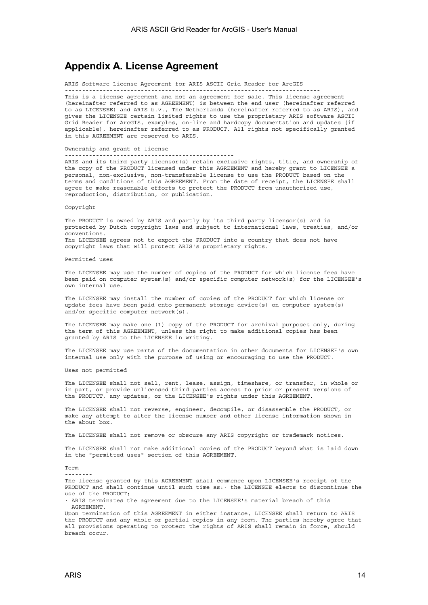#### <span id="page-13-0"></span>**Appendix A. License Agreement**

ARIS Software License Agreement for ARIS ASCII Grid Reader for ArcGIS

-------------------------------------------------------------------------- This is a license agreement and not an agreement for sale. This license agreement (hereinafter referred to as AGREEMENT) is between the end user (hereinafter referred to as LICENSEE) and ARIS b.v., The Netherlands (hereinafter referred to as ARIS), and gives the LICENSEE certain limited rights to use the proprietary ARIS software ASCII Grid Reader for ArcGIS, examples, on-line and hardcopy documentation and updates (if applicable), hereinafter referred to as PRODUCT. All rights not specifically granted in this AGREEMENT are reserved to ARIS.

Ownership and grant of license

-------------------------------------------------

------------------------------

ARIS and its third party licensor(s) retain exclusive rights, title, and ownership of the copy of the PRODUCT licensed under this AGREEMENT and hereby grant to LICENSEE a personal, non-exclusive, non-transferable license to use the PRODUCT based on the terms and conditions of this AGREEMENT. From the date of receipt, the LICENSEE shall agree to make reasonable efforts to protect the PRODUCT from unauthorized use, reproduction, distribution, or publication.

Copyright

The PRODUCT is owned by ARIS and partly by its third party licensor(s) and is protected by Dutch copyright laws and subject to international laws, treaties, and/or conventions. The LICENSEE agrees not to export the PRODUCT into a country that does not have copyright laws that will protect ARIS's proprietary rights.

Permitted uses

-----------------------

---------------

The LICENSEE may use the number of copies of the PRODUCT for which license fees have been paid on computer system(s) and/or specific computer network(s) for the LICENSEE's own internal use.

The LICENSEE may install the number of copies of the PRODUCT for which license or update fees have been paid onto permanent storage device(s) on computer system(s) and/or specific computer network(s).

The LICENSEE may make one (1) copy of the PRODUCT for archival purposes only, during the term of this AGREEMENT, unless the right to make additional copies has been granted by ARIS to the LICENSEE in writing.

The LICENSEE may use parts of the documentation in other documents for LICENSEE's own internal use only with the purpose of using or encouraging to use the PRODUCT.

Uses not permitted

The LICENSEE shall not sell, rent, lease, assign, timeshare, or transfer, in whole or in part, or provide unlicensed third parties access to prior or present versions of the PRODUCT, any updates, or the LICENSEE's rights under this AGREEMENT.

The LICENSEE shall not reverse, engineer, decompile, or disassemble the PRODUCT, or make any attempt to alter the license number and other license information shown in the about box.

The LICENSEE shall not remove or obscure any ARIS copyright or trademark notices.

The LICENSEE shall not make additional copies of the PRODUCT beyond what is laid down in the "permitted uses" section of this AGREEMENT.

Term

--------

The license granted by this AGREEMENT shall commence upon LICENSEE's receipt of the PRODUCT and shall continue until such time as:· the LICENSEE elects to discontinue the use of the PRODUCT;

· ARIS terminates the agreement due to the LICENSEE's material breach of this AGREEMENT.

Upon termination of this AGREEMENT in either instance, LICENSEE shall return to ARIS the PRODUCT and any whole or partial copies in any form. The parties hereby agree that all provisions operating to protect the rights of ARIS shall remain in force, should breach occur.